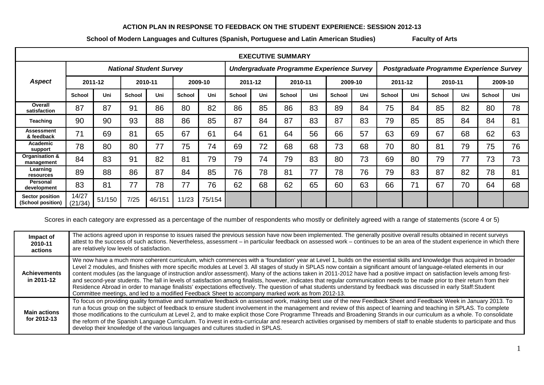## **ACTION PLAN IN RESPONSE TO FEEDBACK ON THE STUDENT EXPERIENCE: SESSION 2012-13**

## **School of Modern Languages and Cultures (Spanish, Portuguese and Latin American Studies) Faculty of Arts**

| <b>EXECUTIVE SUMMARY</b>                    |                                |        |               |        |               |        |                                           |     |         |     |               |                                          |               |     |               |     |               |     |
|---------------------------------------------|--------------------------------|--------|---------------|--------|---------------|--------|-------------------------------------------|-----|---------|-----|---------------|------------------------------------------|---------------|-----|---------------|-----|---------------|-----|
|                                             | <b>National Student Survey</b> |        |               |        |               |        | Undergraduate Programme Experience Survey |     |         |     |               | Postgraduate Programme Experience Survey |               |     |               |     |               |     |
| <b>Aspect</b>                               | 2011-12                        |        | 2010-11       |        | 2009-10       |        | 2011-12                                   |     | 2010-11 |     | 2009-10       |                                          | 2011-12       |     | 2010-11       |     | 2009-10       |     |
|                                             | <b>School</b>                  | Uni    | <b>School</b> | Uni    | <b>School</b> | Uni    | <b>School</b>                             | Uni | School  | Uni | <b>School</b> | Uni                                      | <b>School</b> | Uni | <b>School</b> | Uni | <b>School</b> | Uni |
| Overall<br>satisfaction                     | 87                             | 87     | 91            | 86     | 80            | 82     | 86                                        | 85  | 86      | 83  | 89            | 84                                       | 75            | 84  | 85            | 82  | 80            | 78  |
| Teaching                                    | 90                             | 90     | 93            | 88     | 86            | 85     | 87                                        | 84  | 87      | 83  | 87            | 83                                       | 79            | 85  | 85            | 84  | 84            | 81  |
| Assessment<br>& feedback                    | 71                             | 69     | 81            | 65     | 67            | 61     | 64                                        | 61  | 64      | 56  | 66            | 57                                       | 63            | 69  | 67            | 68  | 62            | 63  |
| Academic<br>support                         | 78                             | 80     | 80            | 77     | 75            | 74     | 69                                        | 72  | 68      | 68  | 73            | 68                                       | 70            | 80  | 81            | 79  | 75            | 76  |
| Organisation &<br>management                | 84                             | 83     | 91            | 82     | 81            | 79     | 79                                        | 74  | 79      | 83  | 80            | 73                                       | 69            | 80  | 79            | 77  | 73            | 73  |
| Learning<br>resources                       | 89                             | 88     | 86            | 87     | 84            | 85     | 76                                        | 78  | 81      | 77  | 78            | 76                                       | 79            | 83  | 87            | 82  | 78            | 81  |
| Personal<br>development                     | 83                             | 81     | 77            | 78     | 77            | 76     | 62                                        | 68  | 62      | 65  | 60            | 63                                       | 66            | 71  | 67            | 70  | 64            | 68  |
| <b>Sector position</b><br>(School position) | 14/27<br>(21/34)               | 51/150 | 7/25          | 46/151 | 11/23         | 75/154 |                                           |     |         |     |               |                                          |               |     |               |     |               |     |

Scores in each category are expressed as a percentage of the number of respondents who mostly or definitely agreed with a range of statements (score 4 or 5)

| Impact of<br>2010-11<br>actions    | The actions agreed upon in response to issues raised the previous session have now been implemented. The generally positive overall results obtained in recent surveys<br>attest to the success of such actions. Nevertheless, assessment - in particular feedback on assessed work - continues to be an area of the student experience in which there<br>are relatively low levels of satisfaction.                                                                                                                                                                                                                                                                                                                                                                                                                                                                                                                                                                                         |
|------------------------------------|----------------------------------------------------------------------------------------------------------------------------------------------------------------------------------------------------------------------------------------------------------------------------------------------------------------------------------------------------------------------------------------------------------------------------------------------------------------------------------------------------------------------------------------------------------------------------------------------------------------------------------------------------------------------------------------------------------------------------------------------------------------------------------------------------------------------------------------------------------------------------------------------------------------------------------------------------------------------------------------------|
| <b>Achievements</b><br>in 2011-12  | We now have a much more coherent curriculum, which commences with a 'foundation' year at Level 1, builds on the essential skills and knowledge thus acquired in broader<br>Level 2 modules, and finishes with more specific modules at Level 3. All stages of study in SPLAS now contain a significant amount of language-related elements in our<br>content modules (as the language of instruction and/or assessment). Many of the actions taken in 2011-2012 have had a positive impact on satisfaction levels among first-<br>and second-year students. The fall in levels of satisfaction among finalists, however, indicates that regular communication needs to be made prior to their return from their<br>Residence Abroad in order to manage finalists' expectations effectively. The question of what students understand by feedback was discussed in early Staff: Student<br>Committee meetings, and led to a modified Feedback Sheet to accompany marked work as from 2012-13. |
| <b>Main actions</b><br>for 2012-13 | To focus on providing quality formative and summative feedback on assessed work, making best use of the new Feedback Sheet and Feedback Week in January 2013. To<br>run a focus group on the subject of feedback to ensure student involvement in the management and review of this aspect of learning and teaching in SPLAS. To complete<br>those modifications to the curriculum at Level 2, and to make explicit those Core Programme Threads and Broadening Strands in our curriculum as a whole. To consolidate<br>the reform of the Spanish Language Curriculum. To invest in extra-curricular and research activities organised by members of staff to enable students to participate and thus<br>develop their knowledge of the various languages and cultures studied in SPLAS.                                                                                                                                                                                                     |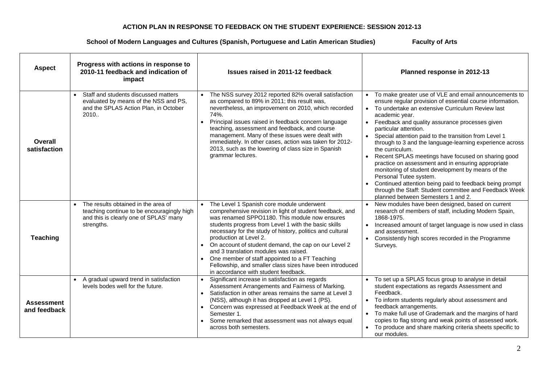## **ACTION PLAN IN RESPONSE TO FEEDBACK ON THE STUDENT EXPERIENCE: SESSION 2012-13**

## **School of Modern Languages and Cultures (Spanish, Portuguese and Latin American Studies) Faculty of Arts**

| <b>Aspect</b>                     | Progress with actions in response to<br>2010-11 feedback and indication of<br>impact                                                                   | Issues raised in 2011-12 feedback                                                                                                                                                                                                                                                                                                                                                                                                                                                                                                                                           | Planned response in 2012-13                                                                                                                                                                                                                                                                                                                                                                                                                                                                                                                                                                                                                                                                                                                                                                 |
|-----------------------------------|--------------------------------------------------------------------------------------------------------------------------------------------------------|-----------------------------------------------------------------------------------------------------------------------------------------------------------------------------------------------------------------------------------------------------------------------------------------------------------------------------------------------------------------------------------------------------------------------------------------------------------------------------------------------------------------------------------------------------------------------------|---------------------------------------------------------------------------------------------------------------------------------------------------------------------------------------------------------------------------------------------------------------------------------------------------------------------------------------------------------------------------------------------------------------------------------------------------------------------------------------------------------------------------------------------------------------------------------------------------------------------------------------------------------------------------------------------------------------------------------------------------------------------------------------------|
| Overall<br>satisfaction           | Staff and students discussed matters<br>evaluated by means of the NSS and PS,<br>and the SPLAS Action Plan, in October<br>2010                         | The NSS survey 2012 reported 82% overall satisfaction<br>as compared to 89% in 2011; this result was,<br>nevertheless, an improvement on 2010, which recorded<br>74%.<br>Principal issues raised in feedback concern language<br>$\bullet$<br>teaching, assessment and feedback, and course<br>management. Many of these issues were dealt with<br>immediately. In other cases, action was taken for 2012-<br>2013, such as the lowering of class size in Spanish<br>grammar lectures.                                                                                      | To make greater use of VLE and email announcements to<br>ensure regular provision of essential course information.<br>To undertake an extensive Curriculum Review last<br>academic year.<br>Feedback and quality assurance processes given<br>particular attention.<br>Special attention paid to the transition from Level 1<br>$\bullet$<br>through to 3 and the language-learning experience across<br>the curriculum.<br>Recent SPLAS meetings have focused on sharing good<br>$\bullet$<br>practice on assessment and in ensuring appropriate<br>monitoring of student development by means of the<br>Personal Tutee system.<br>Continued attention being paid to feedback being prompt<br>through the Staff: Student committee and Feedback Week<br>planned between Semesters 1 and 2. |
| <b>Teaching</b>                   | The results obtained in the area of<br>$\bullet$<br>teaching continue to be encouragingly high<br>and this is clearly one of SPLAS' many<br>strengths. | The Level 1 Spanish core module underwent<br>$\bullet$<br>comprehensive revision in light of student feedback, and<br>was renamed SPPO1180. This module now ensures<br>students progress from Level 1 with the basic skills<br>necessary for the study of history, politics and cultural<br>production at Level 2.<br>• On account of student demand, the cap on our Level 2<br>and 3 translation modules was raised.<br>One member of staff appointed to a FT Teaching<br>Fellowship, and smaller class sizes have been introduced<br>in accordance with student feedback. | New modules have been designed, based on current<br>research of members of staff, including Modern Spain,<br>1868-1975.<br>Increased amount of target language is now used in class<br>$\bullet$<br>and assessment.<br>Consistently high scores recorded in the Programme<br>$\bullet$<br>Surveys.                                                                                                                                                                                                                                                                                                                                                                                                                                                                                          |
| <b>Assessment</b><br>and feedback | • A gradual upward trend in satisfaction<br>levels bodes well for the future.                                                                          | Significant increase in satisfaction as regards<br>$\bullet$<br>Assessment Arrangements and Fairness of Marking.<br>Satisfaction in other areas remains the same at Level 3<br>$\bullet$<br>(NSS), although it has dropped at Level 1 (PS).<br>Concern was expressed at Feedback Week at the end of<br>$\bullet$<br>Semester 1.<br>Some remarked that assessment was not always equal<br>across both semesters.                                                                                                                                                             | To set up a SPLAS focus group to analyse in detail<br>student expectations as regards Assessment and<br>Feedback.<br>To inform students regularly about assessment and<br>$\bullet$<br>feedback arrangements.<br>To make full use of Grademark and the margins of hard<br>copies to flag strong and weak points of assessed work.<br>To produce and share marking criteria sheets specific to<br>our modules.                                                                                                                                                                                                                                                                                                                                                                               |